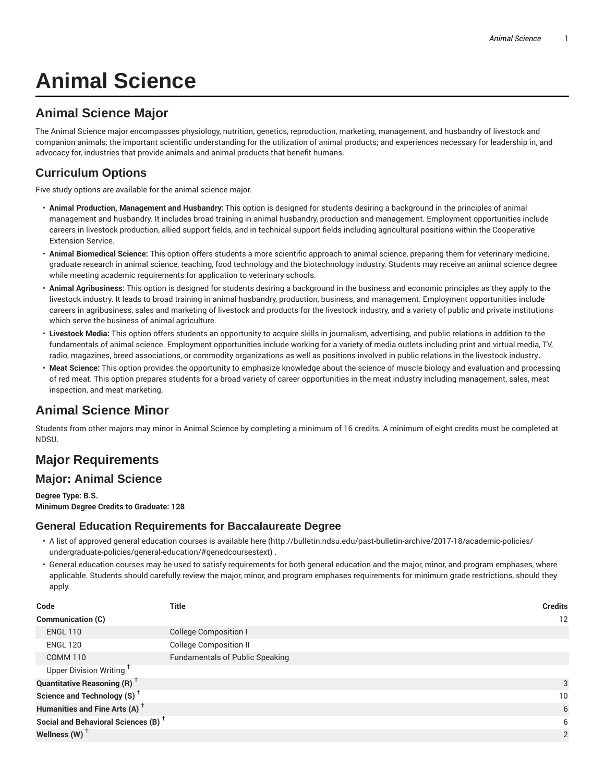# **Animal Science**

# **Animal Science Major**

The Animal Science major encompasses physiology, nutrition, genetics, reproduction, marketing, management, and husbandry of livestock and companion animals; the important scientific understanding for the utilization of animal products; and experiences necessary for leadership in, and advocacy for, industries that provide animals and animal products that benefit humans.

# **Curriculum Options**

Five study options are available for the animal science major.

- **Animal Production, Management and Husbandry:** This option is designed for students desiring a background in the principles of animal management and husbandry. It includes broad training in animal husbandry, production and management. Employment opportunities include careers in livestock production, allied support fields, and in technical support fields including agricultural positions within the Cooperative Extension Service.
- **Animal Biomedical Science:** This option offers students a more scientific approach to animal science, preparing them for veterinary medicine, graduate research in animal science, teaching, food technology and the biotechnology industry. Students may receive an animal science degree while meeting academic requirements for application to veterinary schools.
- **Animal Agribusiness:** This option is designed for students desiring a background in the business and economic principles as they apply to the livestock industry. It leads to broad training in animal husbandry, production, business, and management. Employment opportunities include careers in agribusiness, sales and marketing of livestock and products for the livestock industry, and a variety of public and private institutions which serve the business of animal agriculture.
- **Livestock Media:** This option offers students an opportunity to acquire skills in journalism, advertising, and public relations in addition to the fundamentals of animal science. Employment opportunities include working for a variety of media outlets including print and virtual media, TV, radio, magazines, breed associations, or commodity organizations as well as positions involved in public relations in the livestock industry**.**
- **Meat Science:** This option provides the opportunity to emphasize knowledge about the science of muscle biology and evaluation and processing of red meat. This option prepares students for a broad variety of career opportunities in the meat industry including management, sales, meat inspection, and meat marketing.

# **Animal Science Minor**

Students from other majors may minor in Animal Science by completing a minimum of 16 credits. A minimum of eight credits must be completed at NDSU.

# **Major Requirements**

## **Major: Animal Science**

**Degree Type: B.S. Minimum Degree Credits to Graduate: 128**

## **General Education Requirements for Baccalaureate Degree**

- A list of approved general education courses is available here (http://bulletin.ndsu.edu/past-bulletin-archive/2017-18/academic-policies/ undergraduate-policies/general-education/#genedcoursestext) .
- General education courses may be used to satisfy requirements for both general education and the major, minor, and program emphases, where applicable. Students should carefully review the major, minor, and program emphases requirements for minimum grade restrictions, should they apply.

| Code                                            | <b>Title</b>                           | <b>Credits</b>  |
|-------------------------------------------------|----------------------------------------|-----------------|
| Communication (C)                               |                                        | 12              |
| <b>ENGL 110</b>                                 | <b>College Composition I</b>           |                 |
| <b>ENGL 120</b>                                 | <b>College Composition II</b>          |                 |
| <b>COMM 110</b>                                 | <b>Fundamentals of Public Speaking</b> |                 |
| Upper Division Writing <sup>+</sup>             |                                        |                 |
| <b>Quantitative Reasoning (R)</b> <sup>†</sup>  |                                        | 3               |
| Science and Technology (S) <sup>+</sup>         |                                        | 10 <sup>°</sup> |
| Humanities and Fine Arts (A) <sup>+</sup>       |                                        | 6               |
| Social and Behavioral Sciences (B) <sup>+</sup> |                                        | 6               |
| Wellness (W) $^{\dagger}$                       |                                        | 2               |
|                                                 |                                        |                 |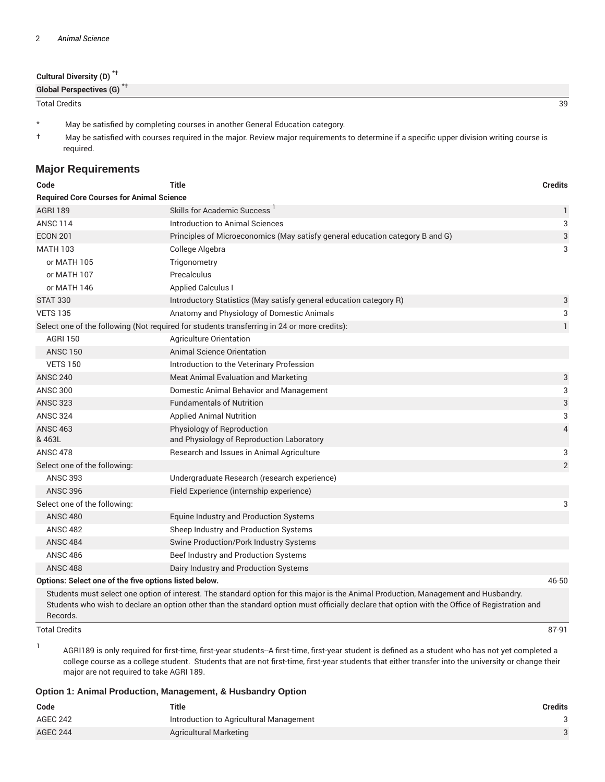| Cultural Diversity (D) <sup>*†</sup>  |    |
|---------------------------------------|----|
| Global Perspectives (G) <sup>*T</sup> |    |
| <b>Total Credits</b>                  | 39 |

\* May be satisfied by completing courses in another General Education category.

† May be satisfied with courses required in the major. Review major requirements to determine if a specific upper division writing course is required.

## **Major Requirements**

| Code                                                  | <b>Title</b>                                                                                | <b>Credits</b> |  |  |
|-------------------------------------------------------|---------------------------------------------------------------------------------------------|----------------|--|--|
|                                                       | <b>Required Core Courses for Animal Science</b>                                             |                |  |  |
| <b>AGRI 189</b>                                       | <b>Skills for Academic Success</b>                                                          | $\mathbf{1}$   |  |  |
| <b>ANSC 114</b>                                       | Introduction to Animal Sciences                                                             | 3              |  |  |
| <b>ECON 201</b>                                       | Principles of Microeconomics (May satisfy general education category B and G)               | 3              |  |  |
| <b>MATH 103</b>                                       | College Algebra                                                                             | 3              |  |  |
| or MATH 105                                           | Trigonometry                                                                                |                |  |  |
| or MATH 107                                           | Precalculus                                                                                 |                |  |  |
| or MATH 146                                           | <b>Applied Calculus I</b>                                                                   |                |  |  |
| <b>STAT 330</b>                                       | Introductory Statistics (May satisfy general education category R)                          | 3              |  |  |
| <b>VETS 135</b>                                       | Anatomy and Physiology of Domestic Animals                                                  | 3              |  |  |
|                                                       | Select one of the following (Not required for students transferring in 24 or more credits): | $\mathbf{1}$   |  |  |
| <b>AGRI 150</b>                                       | Agriculture Orientation                                                                     |                |  |  |
| <b>ANSC 150</b>                                       | <b>Animal Science Orientation</b>                                                           |                |  |  |
| <b>VETS 150</b>                                       | Introduction to the Veterinary Profession                                                   |                |  |  |
| <b>ANSC 240</b>                                       | Meat Animal Evaluation and Marketing                                                        | 3              |  |  |
| <b>ANSC 300</b>                                       | Domestic Animal Behavior and Management                                                     | 3              |  |  |
| <b>ANSC 323</b>                                       | <b>Fundamentals of Nutrition</b>                                                            | 3              |  |  |
| <b>ANSC 324</b>                                       | <b>Applied Animal Nutrition</b>                                                             | 3              |  |  |
| <b>ANSC 463</b><br>& 463L                             | Physiology of Reproduction<br>and Physiology of Reproduction Laboratory                     | $\overline{4}$ |  |  |
| <b>ANSC 478</b>                                       | Research and Issues in Animal Agriculture                                                   | 3              |  |  |
| Select one of the following:                          |                                                                                             | $\overline{2}$ |  |  |
| <b>ANSC 393</b>                                       | Undergraduate Research (research experience)                                                |                |  |  |
| <b>ANSC 396</b>                                       | Field Experience (internship experience)                                                    |                |  |  |
| Select one of the following:                          |                                                                                             | 3              |  |  |
| <b>ANSC 480</b>                                       | Equine Industry and Production Systems                                                      |                |  |  |
| <b>ANSC 482</b>                                       | Sheep Industry and Production Systems                                                       |                |  |  |
| <b>ANSC 484</b>                                       | Swine Production/Pork Industry Systems                                                      |                |  |  |
| <b>ANSC 486</b>                                       | Beef Industry and Production Systems                                                        |                |  |  |
| <b>ANSC 488</b>                                       | Dairy Industry and Production Systems                                                       |                |  |  |
| Options: Select one of the five options listed below. |                                                                                             | 46-50          |  |  |

Students must select one option of interest. The standard option for this major is the Animal Production, Management and Husbandry. Students who wish to declare an option other than the standard option must officially declare that option with the Office of Registration and Records.

#### Total Credits 87-91

1

AGRI189 is only required for first-time, first-year students--A first-time, first-year student is defined as a student who has not yet completed a college course as a college student. Students that are not first-time, first-year students that either transfer into the university or change their major are not required to take AGRI 189.

#### **Option 1: Animal Production, Management, & Husbandry Option**

| Code            | <b>Title</b>                            | Credits |
|-----------------|-----------------------------------------|---------|
| AGEC 242        | Introduction to Agricultural Management |         |
| <b>AGEC 244</b> | Agricultural Marketing                  |         |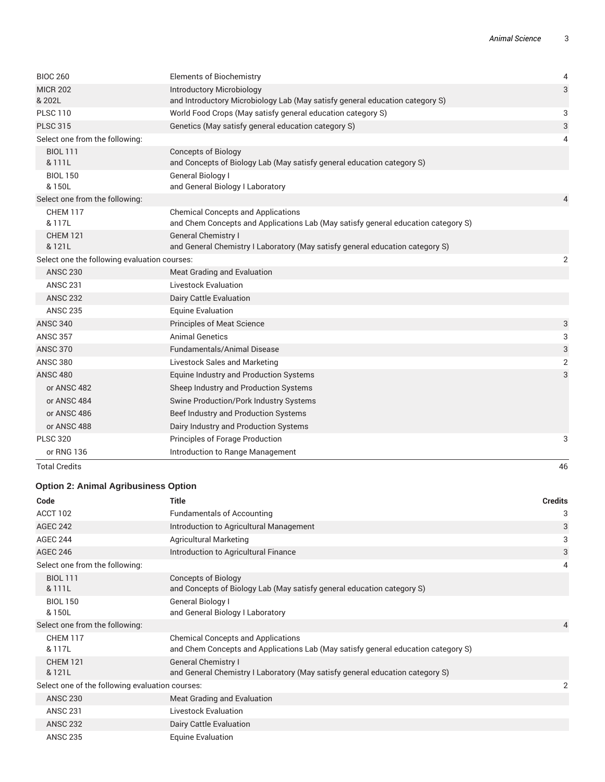| <b>Total Credits</b>                         |                                                                                                                                | 46             |
|----------------------------------------------|--------------------------------------------------------------------------------------------------------------------------------|----------------|
| or RNG 136                                   | Introduction to Range Management                                                                                               |                |
| <b>PLSC 320</b>                              | Principles of Forage Production                                                                                                | 3              |
| or ANSC 488                                  | Dairy Industry and Production Systems                                                                                          |                |
| or ANSC 486                                  | Beef Industry and Production Systems                                                                                           |                |
| or ANSC 484                                  | Swine Production/Pork Industry Systems                                                                                         |                |
| or ANSC 482                                  | Sheep Industry and Production Systems                                                                                          |                |
| <b>ANSC 480</b>                              | Equine Industry and Production Systems                                                                                         | 3              |
| <b>ANSC 380</b>                              | Livestock Sales and Marketing                                                                                                  | $\overline{2}$ |
| <b>ANSC 370</b>                              | <b>Fundamentals/Animal Disease</b>                                                                                             | 3              |
| <b>ANSC 357</b>                              | <b>Animal Genetics</b>                                                                                                         | 3              |
| <b>ANSC 340</b>                              | <b>Principles of Meat Science</b>                                                                                              | 3              |
| <b>ANSC 235</b>                              | <b>Equine Evaluation</b>                                                                                                       |                |
| <b>ANSC 232</b>                              | Dairy Cattle Evaluation                                                                                                        |                |
| <b>ANSC 231</b>                              | <b>Livestock Evaluation</b>                                                                                                    |                |
| <b>ANSC 230</b>                              | Meat Grading and Evaluation                                                                                                    |                |
| Select one the following evaluation courses: |                                                                                                                                | $\overline{2}$ |
| <b>CHEM 121</b><br>& 121L                    | <b>General Chemistry I</b><br>and General Chemistry I Laboratory (May satisfy general education category S)                    |                |
| CHEM 117<br>& 117L                           | <b>Chemical Concepts and Applications</b><br>and Chem Concepts and Applications Lab (May satisfy general education category S) |                |
| Select one from the following:               |                                                                                                                                | 4              |
| <b>BIOL 150</b><br>& 150L                    | General Biology I<br>and General Biology I Laboratory                                                                          |                |
| <b>BIOL 111</b><br>& 111L                    | <b>Concepts of Biology</b><br>and Concepts of Biology Lab (May satisfy general education category S)                           |                |
| Select one from the following:               |                                                                                                                                | 4              |
| <b>PLSC 315</b>                              | Genetics (May satisfy general education category S)                                                                            | 3              |
| <b>PLSC 110</b>                              | World Food Crops (May satisfy general education category S)                                                                    | 3              |
| <b>MICR 202</b><br>& 202L                    | <b>Introductory Microbiology</b><br>and Introductory Microbiology Lab (May satisfy general education category S)               | 3              |
| <b>BIOC 260</b>                              | <b>Elements of Biochemistry</b>                                                                                                | 4              |
|                                              |                                                                                                                                |                |

## **Option 2: Animal Agribusiness Option**

| Code                                            | <b>Title</b>                                                                                                                   | <b>Credits</b> |
|-------------------------------------------------|--------------------------------------------------------------------------------------------------------------------------------|----------------|
| ACCT 102                                        | <b>Fundamentals of Accounting</b>                                                                                              | 3              |
| <b>AGEC 242</b>                                 | Introduction to Agricultural Management                                                                                        | 3              |
| <b>AGEC 244</b>                                 | <b>Agricultural Marketing</b>                                                                                                  | 3              |
| <b>AGEC 246</b>                                 | Introduction to Agricultural Finance                                                                                           | 3              |
| Select one from the following:                  |                                                                                                                                | 4              |
| <b>BIOL 111</b><br>& 111L                       | <b>Concepts of Biology</b><br>and Concepts of Biology Lab (May satisfy general education category S)                           |                |
| <b>BIOL 150</b><br>& 150L                       | General Biology I<br>and General Biology I Laboratory                                                                          |                |
| Select one from the following:                  |                                                                                                                                | $\overline{4}$ |
| <b>CHEM 117</b><br>& 117L                       | <b>Chemical Concepts and Applications</b><br>and Chem Concepts and Applications Lab (May satisfy general education category S) |                |
| <b>CHEM 121</b><br>& 121L                       | <b>General Chemistry I</b><br>and General Chemistry I Laboratory (May satisfy general education category S)                    |                |
| Select one of the following evaluation courses: |                                                                                                                                | 2              |
| <b>ANSC 230</b>                                 | Meat Grading and Evaluation                                                                                                    |                |
| <b>ANSC 231</b>                                 | <b>Livestock Evaluation</b>                                                                                                    |                |
| <b>ANSC 232</b>                                 | Dairy Cattle Evaluation                                                                                                        |                |
| <b>ANSC 235</b>                                 | <b>Equine Evaluation</b>                                                                                                       |                |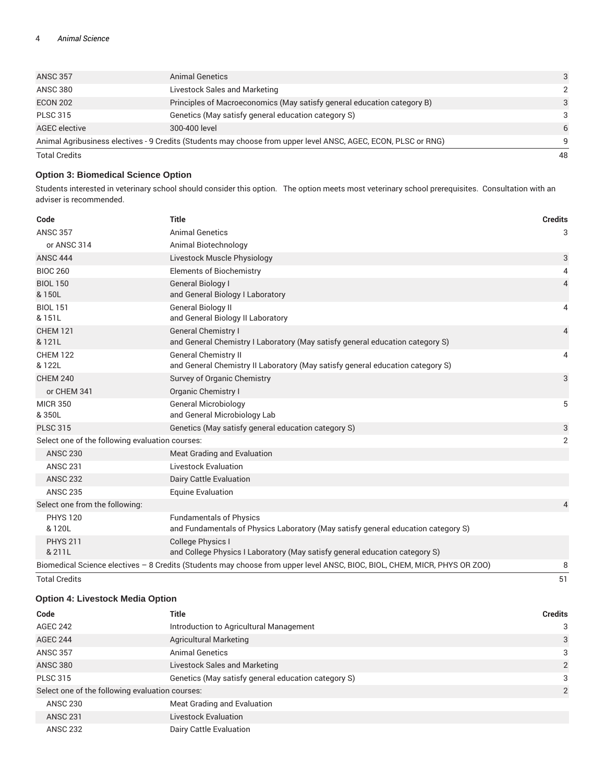| <b>ANSC 357</b>      | Animal Genetics                                                                                                | 3             |
|----------------------|----------------------------------------------------------------------------------------------------------------|---------------|
| <b>ANSC 380</b>      | Livestock Sales and Marketing                                                                                  | $\mathcal{P}$ |
| <b>ECON 202</b>      | Principles of Macroeconomics (May satisfy general education category B)                                        | 3             |
| <b>PLSC 315</b>      | Genetics (May satisfy general education category S)                                                            | 3             |
| AGEC elective        | 300-400 level                                                                                                  | 6             |
|                      | Animal Agribusiness electives - 9 Credits (Students may choose from upper level ANSC, AGEC, ECON, PLSC or RNG) | q             |
| <b>Total Credits</b> |                                                                                                                | 48            |

#### **Option 3: Biomedical Science Option**

Students interested in veterinary school should consider this option. The option meets most veterinary school prerequisites. Consultation with an adviser is recommended.

| Code                                            | <b>Title</b>                                                                                                              | <b>Credits</b> |
|-------------------------------------------------|---------------------------------------------------------------------------------------------------------------------------|----------------|
| <b>ANSC 357</b>                                 | <b>Animal Genetics</b>                                                                                                    | 3              |
| or ANSC 314                                     | Animal Biotechnology                                                                                                      |                |
| <b>ANSC 444</b>                                 | Livestock Muscle Physiology                                                                                               | 3              |
| <b>BIOC 260</b>                                 | <b>Elements of Biochemistry</b>                                                                                           | 4              |
| <b>BIOL 150</b><br>& 150L                       | General Biology I<br>and General Biology I Laboratory                                                                     | $\overline{4}$ |
| <b>BIOL 151</b><br>& 151L                       | General Biology II<br>and General Biology II Laboratory                                                                   | 4              |
| <b>CHEM 121</b><br>& 121L                       | <b>General Chemistry I</b><br>and General Chemistry I Laboratory (May satisfy general education category S)               | $\overline{4}$ |
| <b>CHEM 122</b><br>& 122L                       | <b>General Chemistry II</b><br>and General Chemistry II Laboratory (May satisfy general education category S)             | 4              |
| <b>CHEM 240</b>                                 | Survey of Organic Chemistry                                                                                               | 3              |
| or CHEM 341                                     | Organic Chemistry I                                                                                                       |                |
| <b>MICR 350</b><br>& 350L                       | <b>General Microbiology</b><br>and General Microbiology Lab                                                               | 5              |
| <b>PLSC 315</b>                                 | Genetics (May satisfy general education category S)                                                                       | 3              |
| Select one of the following evaluation courses: |                                                                                                                           | $\overline{2}$ |
| <b>ANSC 230</b>                                 | Meat Grading and Evaluation                                                                                               |                |
| <b>ANSC 231</b>                                 | <b>Livestock Evaluation</b>                                                                                               |                |
| <b>ANSC 232</b>                                 | Dairy Cattle Evaluation                                                                                                   |                |
| <b>ANSC 235</b>                                 | <b>Equine Evaluation</b>                                                                                                  |                |
| Select one from the following:                  |                                                                                                                           | 4              |
| <b>PHYS 120</b><br>& 120L                       | <b>Fundamentals of Physics</b><br>and Fundamentals of Physics Laboratory (May satisfy general education category S)       |                |
| <b>PHYS 211</b><br>& 211L                       | <b>College Physics I</b><br>and College Physics I Laboratory (May satisfy general education category S)                   |                |
|                                                 | Biomedical Science electives - 8 Credits (Students may choose from upper level ANSC, BIOC, BIOL, CHEM, MICR, PHYS OR ZOO) | 8              |

Total Credits 51

### **Option 4: Livestock Media Option**

| Code                                            | <b>Title</b>                                        | <b>Credits</b> |
|-------------------------------------------------|-----------------------------------------------------|----------------|
| AGEC 242                                        | Introduction to Agricultural Management             | 3              |
| AGEC 244                                        | <b>Agricultural Marketing</b>                       | 3              |
| <b>ANSC 357</b>                                 | <b>Animal Genetics</b>                              | 3              |
| <b>ANSC 380</b>                                 | Livestock Sales and Marketing                       | 2              |
| <b>PLSC 315</b>                                 | Genetics (May satisfy general education category S) | 3              |
| Select one of the following evaluation courses: |                                                     | 2              |
| <b>ANSC 230</b>                                 | Meat Grading and Evaluation                         |                |
| <b>ANSC 231</b>                                 | <b>Livestock Evaluation</b>                         |                |
| <b>ANSC 232</b>                                 | Dairy Cattle Evaluation                             |                |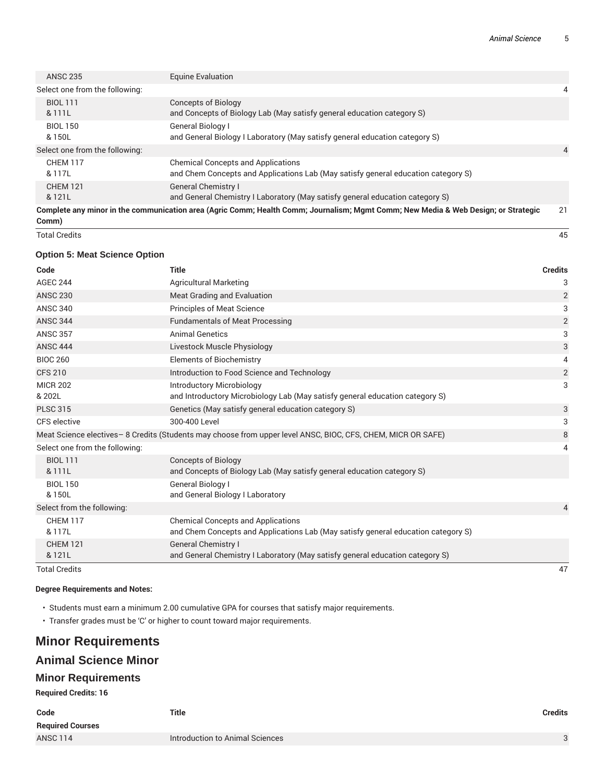| <b>ANSC 235</b>                | Equine Evaluation                                                                                                                  |    |
|--------------------------------|------------------------------------------------------------------------------------------------------------------------------------|----|
| Select one from the following: |                                                                                                                                    | 4  |
| <b>BIOL 111</b><br>& 111L      | Concepts of Biology<br>and Concepts of Biology Lab (May satisfy general education category S)                                      |    |
| <b>BIOL 150</b><br>& 150L      | <b>General Biology I</b><br>and General Biology I Laboratory (May satisfy general education category S)                            |    |
| Select one from the following: |                                                                                                                                    | 4  |
| <b>CHEM 117</b><br>& 117L      | <b>Chemical Concepts and Applications</b><br>and Chem Concepts and Applications Lab (May satisfy general education category S)     |    |
| <b>CHEM 121</b><br>& 121L      | <b>General Chemistry I</b><br>and General Chemistry I Laboratory (May satisfy general education category S)                        |    |
| Comm)                          | Complete any minor in the communication area (Agric Comm; Health Comm; Journalism; Mgmt Comm; New Media & Web Design; or Strategic | 21 |
| <b>Total Credits</b>           |                                                                                                                                    | 45 |

#### **Option 5: Meat Science Option**

| Code                           | <b>Title</b>                                                                                                                   | <b>Credits</b> |
|--------------------------------|--------------------------------------------------------------------------------------------------------------------------------|----------------|
| <b>AGEC 244</b>                | <b>Agricultural Marketing</b>                                                                                                  | 3              |
| <b>ANSC 230</b>                | Meat Grading and Evaluation                                                                                                    | $\overline{2}$ |
| <b>ANSC 340</b>                | <b>Principles of Meat Science</b>                                                                                              | 3              |
| <b>ANSC 344</b>                | <b>Fundamentals of Meat Processing</b>                                                                                         | $\overline{2}$ |
| <b>ANSC 357</b>                | <b>Animal Genetics</b>                                                                                                         | 3              |
| <b>ANSC 444</b>                | Livestock Muscle Physiology                                                                                                    | 3              |
| <b>BIOC 260</b>                | <b>Elements of Biochemistry</b>                                                                                                | 4              |
| <b>CFS 210</b>                 | Introduction to Food Science and Technology                                                                                    | $\overline{c}$ |
| <b>MICR 202</b>                | <b>Introductory Microbiology</b>                                                                                               | 3              |
| & 202L                         | and Introductory Microbiology Lab (May satisfy general education category S)                                                   |                |
| <b>PLSC 315</b>                | Genetics (May satisfy general education category S)                                                                            | 3              |
| CFS elective                   | 300-400 Level                                                                                                                  | 3              |
|                                | Meat Science electives – 8 Credits (Students may choose from upper level ANSC, BIOC, CFS, CHEM, MICR OR SAFE)                  | $\, 8$         |
| Select one from the following: |                                                                                                                                | 4              |
| <b>BIOL 111</b>                | <b>Concepts of Biology</b>                                                                                                     |                |
| & 111L                         | and Concepts of Biology Lab (May satisfy general education category S)                                                         |                |
| <b>BIOL 150</b>                | General Biology I                                                                                                              |                |
| & 150L                         | and General Biology I Laboratory                                                                                               |                |
| Select from the following:     |                                                                                                                                | 4              |
| <b>CHEM 117</b><br>& 117L      | <b>Chemical Concepts and Applications</b><br>and Chem Concepts and Applications Lab (May satisfy general education category S) |                |
| <b>CHEM 121</b>                | <b>General Chemistry I</b>                                                                                                     |                |
| & 121L                         | and General Chemistry I Laboratory (May satisfy general education category S)                                                  |                |
| <b>Total Credits</b>           |                                                                                                                                | 47             |

#### **Degree Requirements and Notes:**

- Students must earn a minimum 2.00 cumulative GPA for courses that satisfy major requirements.
- Transfer grades must be 'C' or higher to count toward major requirements.

# **Minor Requirements**

## **Animal Science Minor**

### **Minor Requirements**

**Required Credits: 16**

| Code                    | <b>Title</b>                    | <b>Credits</b> |
|-------------------------|---------------------------------|----------------|
| <b>Required Courses</b> |                                 |                |
| <b>ANSC 114</b>         | Introduction to Animal Sciences |                |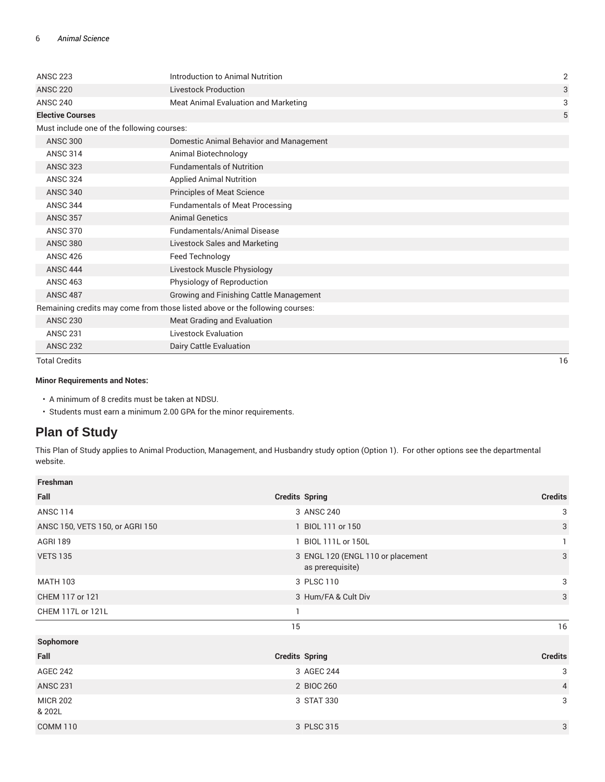| <b>ANSC 223</b>                            | Introduction to Animal Nutrition                                             | $\overline{2}$ |
|--------------------------------------------|------------------------------------------------------------------------------|----------------|
| <b>ANSC 220</b>                            | <b>Livestock Production</b>                                                  | 3              |
| <b>ANSC 240</b>                            | Meat Animal Evaluation and Marketing                                         | 3              |
| <b>Elective Courses</b>                    |                                                                              | 5              |
| Must include one of the following courses: |                                                                              |                |
| <b>ANSC 300</b>                            | Domestic Animal Behavior and Management                                      |                |
| <b>ANSC 314</b>                            | Animal Biotechnology                                                         |                |
| <b>ANSC 323</b>                            | <b>Fundamentals of Nutrition</b>                                             |                |
| <b>ANSC 324</b>                            | <b>Applied Animal Nutrition</b>                                              |                |
| <b>ANSC 340</b>                            | <b>Principles of Meat Science</b>                                            |                |
| <b>ANSC 344</b>                            | <b>Fundamentals of Meat Processing</b>                                       |                |
| <b>ANSC 357</b>                            | <b>Animal Genetics</b>                                                       |                |
| <b>ANSC 370</b>                            | <b>Fundamentals/Animal Disease</b>                                           |                |
| <b>ANSC 380</b>                            | <b>Livestock Sales and Marketing</b>                                         |                |
| <b>ANSC 426</b>                            | Feed Technology                                                              |                |
| <b>ANSC 444</b>                            | Livestock Muscle Physiology                                                  |                |
| <b>ANSC 463</b>                            | Physiology of Reproduction                                                   |                |
| <b>ANSC 487</b>                            | Growing and Finishing Cattle Management                                      |                |
|                                            | Remaining credits may come from those listed above or the following courses: |                |
| <b>ANSC 230</b>                            | Meat Grading and Evaluation                                                  |                |
| <b>ANSC 231</b>                            | <b>Livestock Evaluation</b>                                                  |                |
| <b>ANSC 232</b>                            | Dairy Cattle Evaluation                                                      |                |
| <b>Total Credits</b>                       |                                                                              | 16             |

#### **Minor Requirements and Notes:**

• A minimum of 8 credits must be taken at NDSU.

• Students must earn a minimum 2.00 GPA for the minor requirements.

# **Plan of Study**

This Plan of Study applies to Animal Production, Management, and Husbandry study option (Option 1). For other options see the departmental website.

| Freshman                        |                                                       |                |
|---------------------------------|-------------------------------------------------------|----------------|
| Fall                            | <b>Credits Spring</b>                                 | <b>Credits</b> |
| <b>ANSC 114</b>                 | 3 ANSC 240                                            | 3              |
| ANSC 150, VETS 150, or AGRI 150 | 1 BIOL 111 or 150                                     | 3              |
| <b>AGRI 189</b>                 | 1 BIOL 111L or 150L                                   |                |
| <b>VETS 135</b>                 | 3 ENGL 120 (ENGL 110 or placement<br>as prerequisite) | 3              |
| <b>MATH 103</b>                 | 3 PLSC 110                                            | 3              |
| CHEM 117 or 121                 | 3 Hum/FA & Cult Div                                   | $\mathbf{3}$   |
| CHEM 117L or 121L               | 1                                                     |                |
|                                 | 15                                                    | 16             |
| Sophomore                       |                                                       |                |
| Fall                            | <b>Credits Spring</b>                                 | <b>Credits</b> |
| <b>AGEC 242</b>                 | 3 AGEC 244                                            | 3              |
| <b>ANSC 231</b>                 | 2 BIOC 260                                            | $\overline{4}$ |
| <b>MICR 202</b><br>& 202L       | 3 STAT 330                                            | 3              |
| <b>COMM 110</b>                 | 3 PLSC 315                                            | 3              |